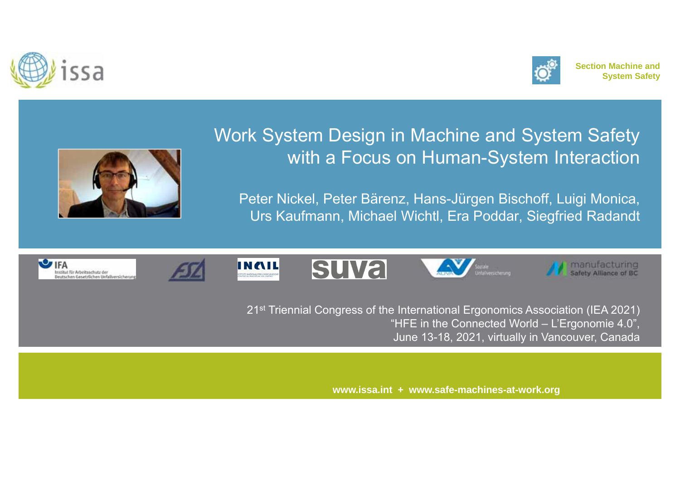





# Work System Design in Machine and System Safety with a Focus on Human-System Interaction

Peter Nickel, Peter Bärenz, Hans-Jürgen Bischoff, Luigi Monica, Urs Kaufmann, Michael Wichtl, Era Poddar, Siegfried Radandt













21st Triennial Congress of the International Ergonomics Association (IEA 2021) "HFE in the Connected World – L'Ergonomie 4.0", June 13-18, 2021, virtually in Vancouver, Canada

**www.issa.int + www.safe-machines-at-work.org**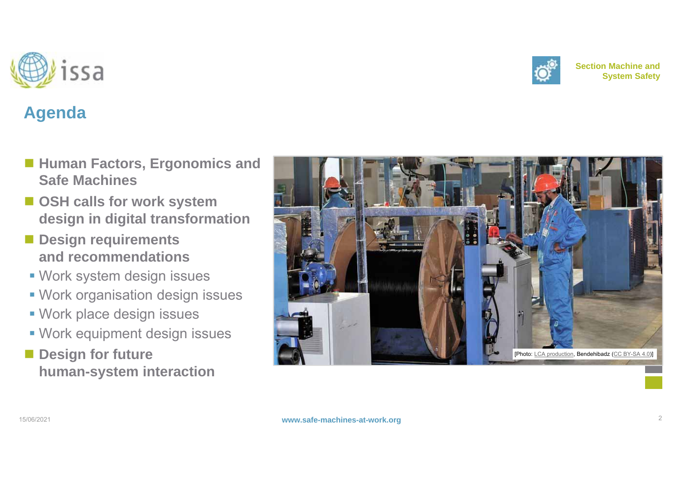**www.safe-machines-at-work.org** 2



# **Agenda**

- Human Factors, Ergonomics and **Safe Machines**
- OSH calls for work system **design in digital transformation**
- Design requirements **and recommendations**
- Work system design issues
- Work organisation design issues
- Work place design issues
- Work equipment design issues
- $\blacksquare$  Design for future **human-system interaction**





**Section Machine andSystem Safety**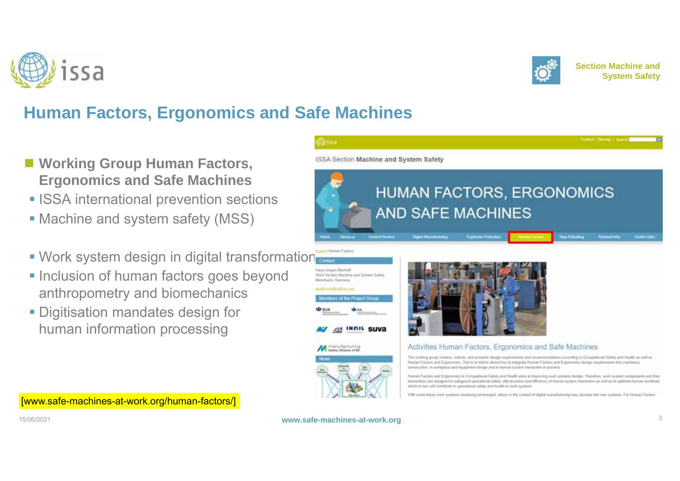





## **Human Factors, Ergonomics and Safe Machines**

- **Working Group Human Factors, Ergonomics and Safe Machines**
- **ISSA international prevention sections**
- Machine and system safety (MSS)
- **Work system design in digital transformation**
- **Inclusion of human factors goes beyond** anthropometry and biomechanics
- **Digitisation mandates design for** human information processing



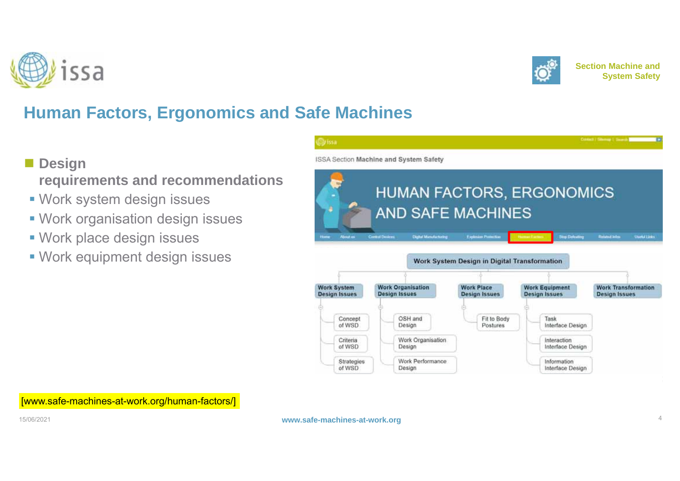





# **Human Factors, Ergonomics and Safe Machines**

- Design
	- **requirements and recommendations**
- Work system design issues
- Work organisation design issues
- Work place design issues
- Work equipment design issues

|                           | ISSA Section Machine and System Safety                 |                                              |                                            |                                                    |
|---------------------------|--------------------------------------------------------|----------------------------------------------|--------------------------------------------|----------------------------------------------------|
|                           |                                                        |                                              | <b>HUMAN FACTORS, ERGONOMICS</b>           |                                                    |
|                           | <b>AND SAFE MACHINES</b>                               |                                              |                                            |                                                    |
| Abvert are<br><b>Huns</b> | <b>Cliphal Munufacturing</b><br><b>Control Devices</b> | <b>Explosion Protection</b>                  | <b>Sup Deleating</b><br><b>Norman Form</b> | <b>Related John:</b><br><b>Chartal Links</b>       |
|                           |                                                        |                                              |                                            |                                                    |
|                           |                                                        |                                              |                                            |                                                    |
|                           |                                                        | Work System Design in Digital Transformation |                                            |                                                    |
| <b>Work System</b>        | <b>Work Organisation</b>                               | <b>Work Place</b>                            | <b>Work Equipment</b>                      |                                                    |
| <b>Design Issues</b>      | <b>Design Issues</b>                                   | Design Issues                                | <b>Design Issues</b>                       | <b>Work Transformation</b><br><b>Design Issues</b> |
| œ                         |                                                        |                                              |                                            |                                                    |
| Concept<br>of WSD         | OSH and<br>Design                                      | Fit to Body<br>Postures                      | Task<br>Interface Design                   |                                                    |
| Criteria<br>of WSD        | Work Organisation<br>Design                            |                                              | Interaction<br>Interface Design            |                                                    |

[www.safe-machines-at-work.org/human-factors/]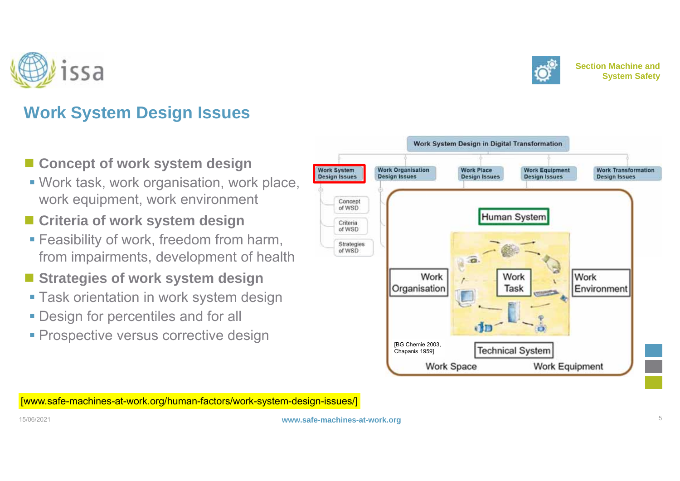



- **Concept of work system design**
- Work task, work organisation, work place, work equipment, work environment
- **Criteria of work system design**
- **Feasibility of work, freedom from harm,** from impairments, development of health
- Strategies of work system design
- Task orientation in work system design
- **Design for percentiles and for all**
- **Prospective versus corrective design**



[www.safe-machines-at-work.org/human-factors/work-system-design-issues/]



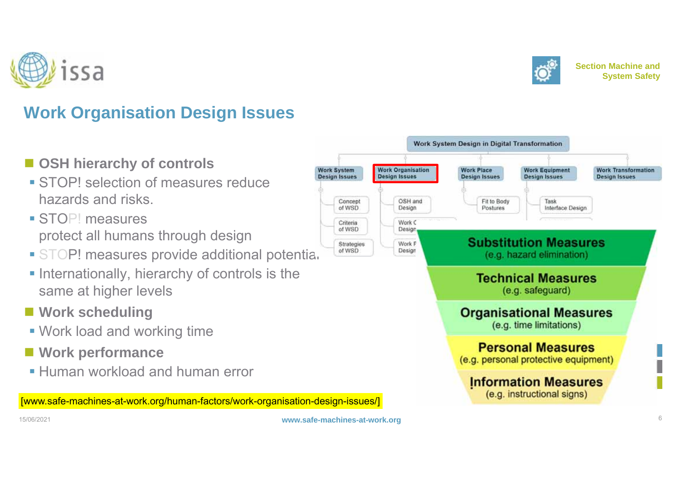



- OSH hierarchy of controls
- **STOP!** selection of measures reduce hazards and risks.
- **STOP!** measures protect all humans through design
- **STOP! measures provide additional potentia.**
- **Internationally, hierarchy of controls is the** same at higher levels
- **Work scheduling**
- Work load and working time
- **Work performance**
- **Human workload and human error**

[www.safe-machines-at-work.org/human-factors/work-organisation-design-issues/]



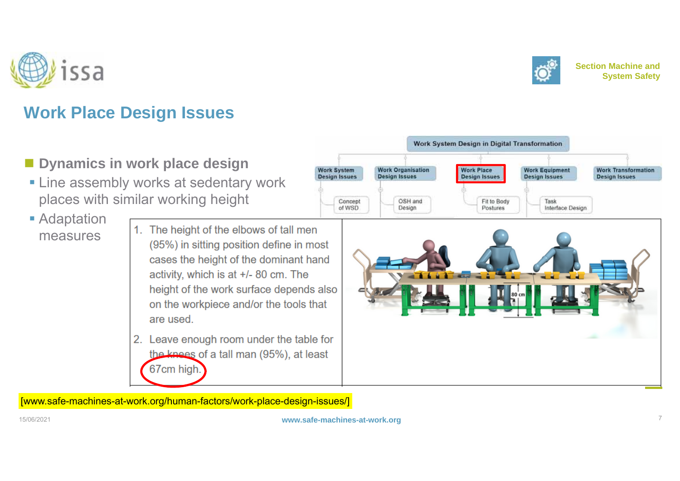



- **Dynamics in work place design**
- **Example 1** Line assembly works at sedentary work places with similar working height
- **Adaptation** measures

1. The height of the elbows of tall men (95%) in sitting position define in most cases the height of the dominant hand activity, which is at +/- 80 cm. The height of the work surface depends also on the workpiece and/or the tools that are used

2. Leave enough room under the table for the knees of a tall man (95%), at least 67cm high.





[www.safe-machines-at-work.org/human-factors/work-place-design-issues/]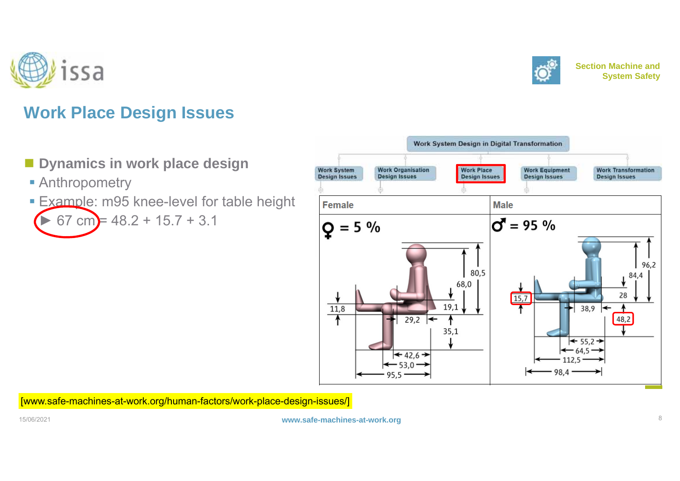



## **Work Place Design Issues**

#### **Dynamics in work place design**

- **Anthropometry**
- **Example: m95 knee-level for table height** ►67 cm =  $48.2 + 15.7 + 3.1$



[www.safe-machines-at-work.org/human-factors/work-place-design-issues/]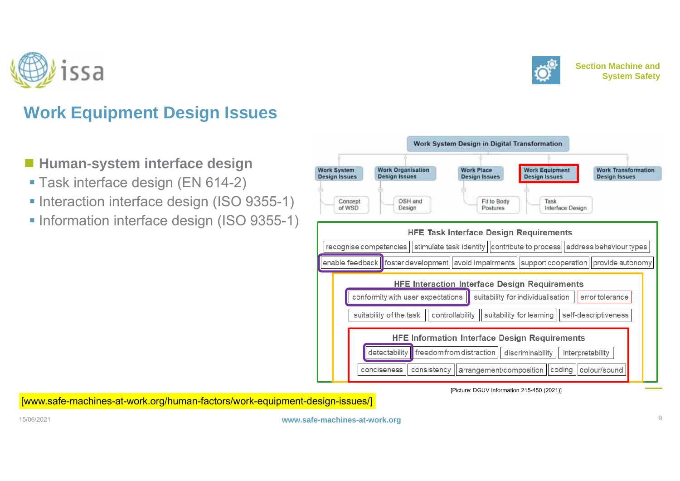



## **Work Equipment Design Issues**

- **Human-system interface design**
- Task interface design (EN 614-2)
- Interaction interface design (ISO 9355-1)
- **Information interface design (ISO 9355-1)**



[Picture: DGUV Information 215-450 (2021)]

[www.safe-machines-at-work.org/human-factors/work-equipment-design-issues/]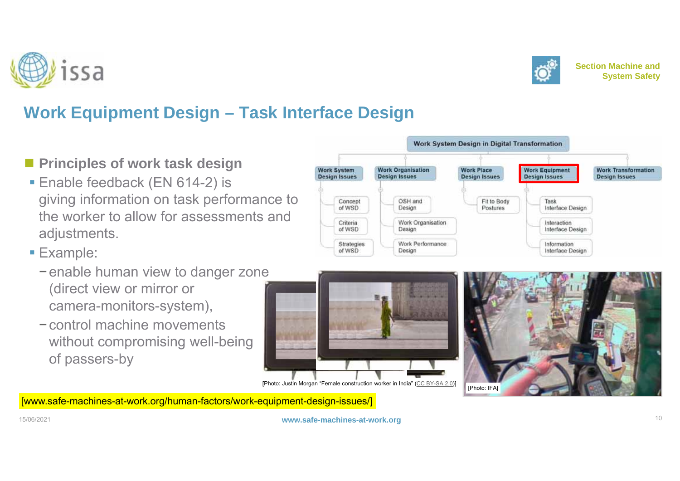



**Section Machine andSystem Safety**

# **Work Equipment Design – Task Interface Design**

- **Principles of work task design**
- Enable feedback (EN 614-2) is giving information on task performance to the worker to allow for assessments and adjustments.
- **Example:** 
	- <sup>−</sup>enable human view to danger zone (direct view or mirror or camera-monitors-system),
	- −control machine movements without compromising well-being of passers-by







[www.safe-machines-at-work.org/human-factors/work-equipment-design-issues/]

15/06/2021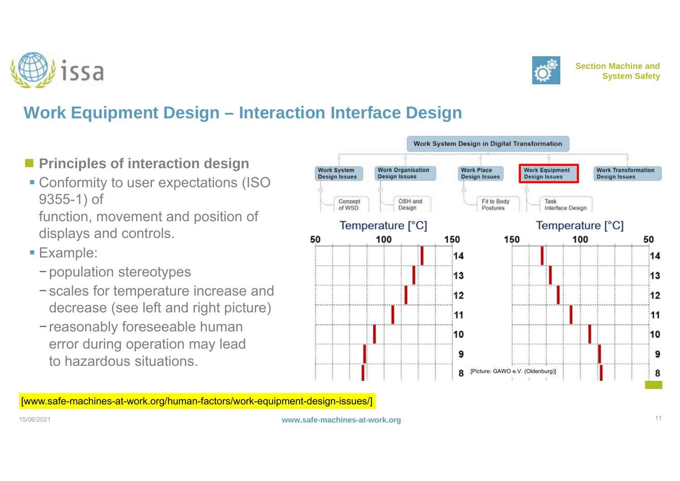



- **Principles of interaction design**
- Conformity to user expectations (ISO 9355-1) of
- function, movement and position of displays and controls.
- **Example:** 
	- <sup>−</sup>population stereotypes
	- <sup>−</sup>scales for temperature increase and decrease (see left and right picture)
	- <sup>−</sup>reasonably foreseeable human error during operation may lead to hazardous situations.



[www.safe-machines-at-work.org/human-factors/work-equipment-design-issues/]



**www.safe-machines-at-work.org** 11





**Section Machine andSystem Safety**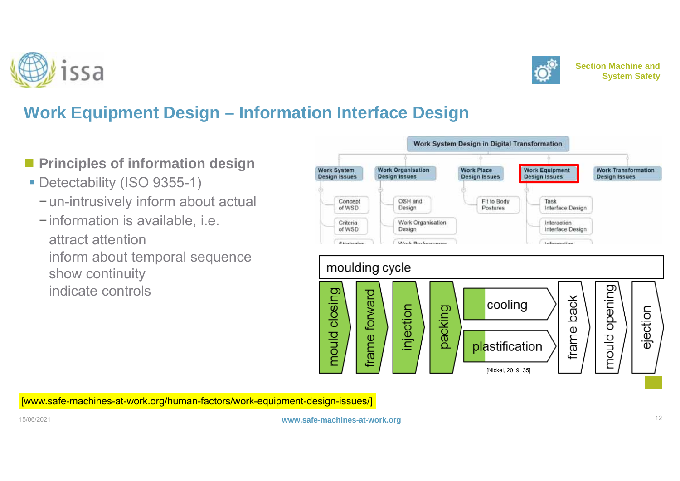



- **Principles of information design**
- Detectability (ISO 9355-1)
	- <sup>−</sup>un-intrusively inform about actual
	- <sup>−</sup>information is available, i.e. −attract attentioninform about temporal sequence show continuity indicate controls



[www.safe-machines-at-work.org/human-factors/work-equipment-design-issues/]



**www.safe-machines-at-work.org** 12

**Section Machine and**

**System Safety**